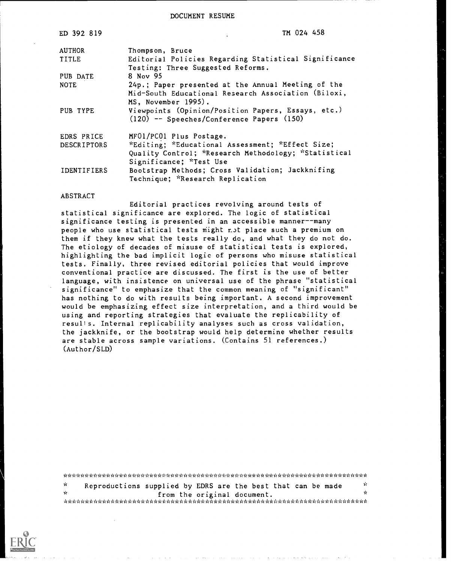DOCUMENT RESUME

| ED 392 819         | TM 024 458                                            |
|--------------------|-------------------------------------------------------|
| <b>AUTHOR</b>      | Thompson, Bruce                                       |
| TITLE              | Editorial Policies Regarding Statistical Significance |
|                    | Testing: Three Suggested Reforms.                     |
| PUB DATE           | 8 Nov 95                                              |
| <b>NOTE</b>        | 24p.; Paper presented at the Annual Meeting of the    |
|                    | Mid-South Educational Research Association (Biloxi,   |
|                    | MS, November 1995).                                   |
| PUB TYPE           | Viewpoints (Opinion/Position Papers, Essays, etc.)    |
|                    | (120) -- Speeches/Conference Papers (150)             |
| EDRS PRICE         | MF01/PC01 Plus Postage.                               |
| DESCRIPTORS        | *Editing; *Educational Assessment; *Effect Size;      |
|                    | Quality Control; *Research Methodology; *Statistical  |
|                    | Significance; *Test Use                               |
| <b>IDENTIFIERS</b> | Bootstrap Methods; Cross Validation; Jackknifing      |
|                    | Technique; *Research Replication                      |

## ABSTRACT

Editorial practices revolving around tests of statistical significance are explored. The logic of statistical significance testing is presented in an accessible manner--many people who use statistical tests might r. ot place such a premium on them if they knew what the tests really do, and what they do not do. The etiology of decades of misuse of statistical tests is explored, highlighting the bad implicit logic of persons who misuse statistical tests. Finally, three revised editorial policies that would improve conventional practice are discussed. The first is the use of better language, with insistence on universal use of the phrase "statistical significance" to emphasize that the common meaning of "significant" has nothing to do with results being important. A second improvement would be emphasizing effect size interpretation, and a third would be using and reporting strategies that evaluate the replicability of results. Internal replicability analyses such as cross validation, the jackknife, or the bootstrap would help determine whether results are stable across sample variations. (Contains 51 references.) (Author/SLD)

\*\*\*\*\*\*\*\*\*\*\*\*\*\*\*\*i.A;%\*\*\*:.:c\*\*\*\*\*)%:H.A\*\*\*\*.;,,i%:.\*\*\*\*\*\*\*\*\*\*\*\*\*\*\*\*\*\*\*\*\*\*\*\*\*\*\*\*\*  $\mathbf{r}^{\prime}$ Reproductions supplied by EDRS are the best that can be made  $\frac{x}{x}$ from the original document. \*\*\*\*\*\*\*\*\*\*\*\*\*\*\*\*\*\*\*\*\*\*\*\*\*\*\*\*\*\*\*\*\*\*\*\*\*\*\*\*\*\*\*\*\*\*\*\*\*\*\*\*\*\*\*\*\*\*\*\*\*\*\*\*\*\*\*\*\*\*\*

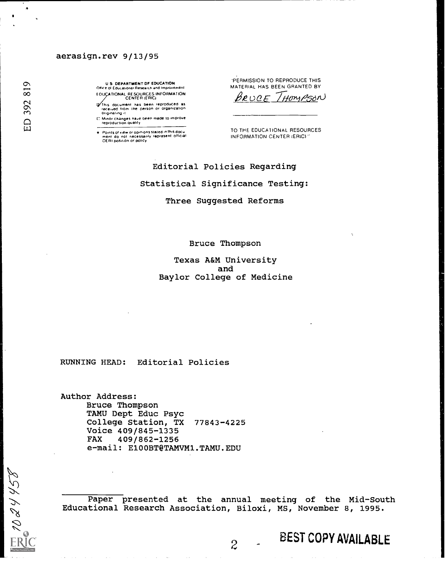## aerasign.rev 9/13/95

U S DEPARTMENT OF EDUCATION Office of Educational Research and Improvement EOUCATIONAL RESOURCES INFORMATION<br>CENTER (ERIC)

.<br>received trom the person or organization<br>Originaling it

C. Minor changes have been made to improve.<br>- reproduction quality

Points of view or opinions stated in this docu<br>ment, do, not, necessarily, represent, official<br>OE RI position or policy

'PERMISSION TO REPRODUCE THIS MATERIAL HAS BEEN GRANTED BY

BRUCE / HOMPSON

TO THE EDUCATIONAL RESOURCES INFORMATION CENTER (ERIC)

Editorial Policies Regarding Statistical Significance Testing:

Three Suggested Reforms

Bruce Thompson

Texas A&M University and Baylor College of Medicine

RUNNING HEAD: Editorial Policies

Author Address: Bruce Thompson TAMU Dept Educ Psyc College Station, TX 77843-4225 Voice 409/845-1335 FAX 409/862-1256 e-mail: E100BT@TAMVM1.TAMU.EDU

Paper presented at the annual meeting of the Mid-South Educational Research Association, Biloxi, MS, November 8, 1995.

256600

# $\overline{c}$  BEST COPY AVAILABLE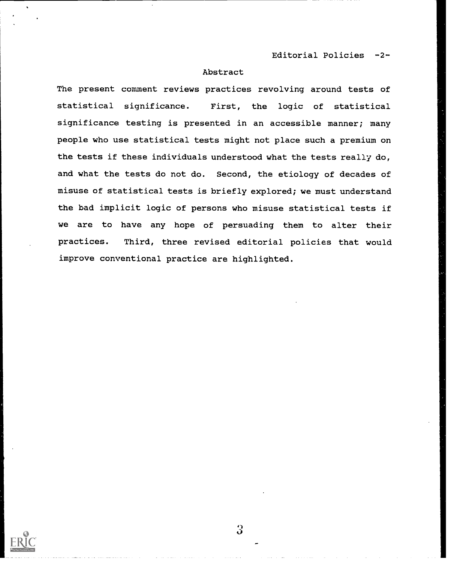Editorial Policies -2-

# Abstract

The present comment reviews practices revolving around tests of statistical significance. First, the logic of statistical significance testing is presented in an accessible manner; many people who use statistical tests might not place such a premium on the tests if these individuals understood what the tests really do, and what the tests do not do. Second, the etiology of decades of misuse of statistical tests is briefly explored; we must understand the bad implicit logic of persons who misuse statistical tests if we are to have any hope of persuading them to alter their practices. Third, three revised editorial policies that would improve conventional practice are highlighted.

 $\Omega$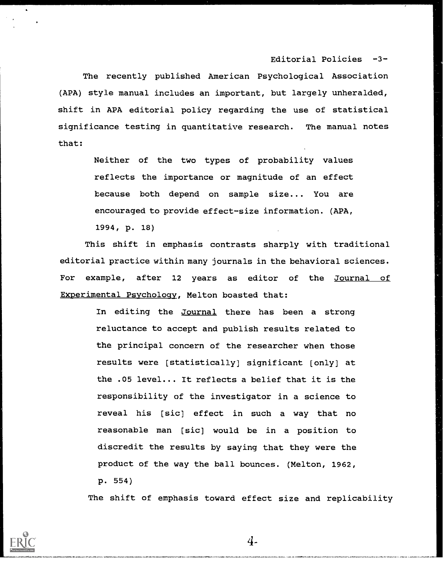Editorial Policies -3-

The recently published American Psychological Association (APA) style manual includes an important, but largely unheralded, shift in APA editorial policy regarding the use of statistical significance testing in quantitative research. The manual notes that:

> Neither of the two types of probability values reflects the importance or magnitude of an effect because both depend on sample size... You are encouraged to provide effect-size information. (APA, 1994, p. 18)

This shift in emphasis contrasts sharply with traditional editorial practice within many journals in the behavioral sciences. For example, after 12 years as editor of the Journal of Experimental Psychology, Melton boasted that:

> In editing the Journal there has been a strong reluctance to accept and publish results related to the principal concern of the researcher when those results were [statistically] significant [only] at the .05 level... It reflects a belief that it is the responsibility of the investigator in a science to reveal his [sic] effect in such a way that no reasonable man [sic] would be in a position to discredit the results by saying that they were the product of the way the ball bounces. (Melton, 1962, p. 554)

The shift of emphasis toward effect size and replicability



4.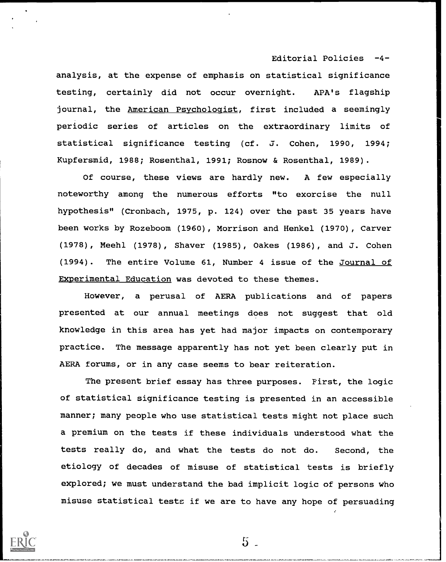Editorial Policies -4-

analysis, at the expense of emphasis on statistical significance testing, certainly did not occur overnight. APA's flagship journal, the American Psychologist, first included a seemingly periodic series of articles on the extraordinary limits of statistical significance testing (cf. J. Cohen, 1990, 1994; Kupfersmid, 1988; Rosenthal, 1991; Rosnow & Rosenthal, 1989).

Of course, these views are hardly new. A few especially noteworthy among the numerous efforts "to exorcise the null hypothesis" (Cronbach, 1975, p. 124) over the past 35 years have been works by Rozeboom (1960), Morrison and Henkel (1970), Carver (1978), Meehl (1978), Shaver (1985), Oakes (1986), and J. Cohen (1994). The entire Volume 61, Number 4 issue of the Journal of Experimental Education was devoted to these themes.

However, a perusal of AERA publications and of papers presented at our annual meetings does not suggest that old knowledge in this area has yet had major impacts on contemporary practice. The message apparently has not yet been clearly put in AERA forums, or in any case seems to bear reiteration.

The present brief essay has three purposes. First, the logic of statistical significance testing is presented in an accessible manner; many people who use statistical tests might not place such a premium on the tests if these individuals understood what the tests really do, and what the tests do not do. Second, the etiology of decades of misuse of statistical tests is briefly explored; we must understand the bad implicit logic of persons who misuse statistical tests if we are to have any hope of persuading



 $5<sub>1</sub>$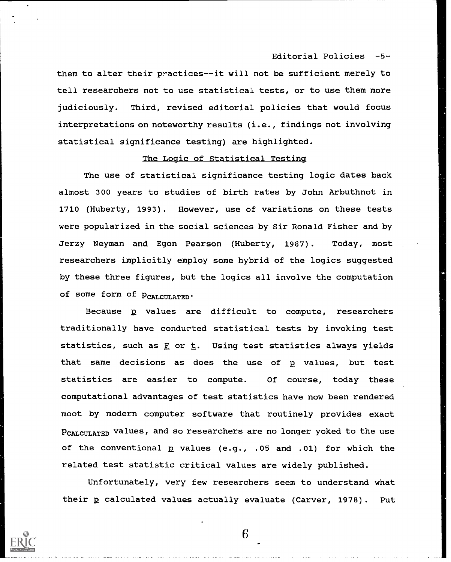Editorial Policies -5-

them to alter their practices--it will not be sufficient merely to tell researchers not to use statistical tests, or to use them more judiciously. Third, revised editorial policies that would focus interpretations on noteworthy results (i.e., findings not involving statistical significance testing) are highlighted.

## The Logic of Statistical Testina

The use of statistical significance testing logic dates back almost 300 years to studies of birth rates by John Arbuthnot in 1710 (Huberty, 1993). However, use of variations on these tests were popularized in the social sciences by Sir Ronald Fisher and by Jerzy Neyman and Egon Pearson (Huberty, 1987). Today, most researchers implicitly employ some hybrid of the logics suggested by these three figures, but the logics all involve the computation of some form of  $p_{CALCULATED}$ .

Because p values are difficult to compute, researchers traditionally have conducted statistical tests by invoking test statistics, such as  $\underline{F}$  or  $\underline{t}$ . Using test statistics always yields that same decisions as does the use of  $p$  values, but test statistics are easier to compute. Of course, today these computational advantages of test statistics have now been rendered moot by modern computer software that routinely provides exact PCALCULATED values, and so researchers are no longer yoked to the use of the conventional p values (e.g., .05 and .01) for which the related test statistic critical values are widely published.

Unfortunately, very few researchers seem to understand what their p calculated values actually evaluate (Carver, 1978). Put

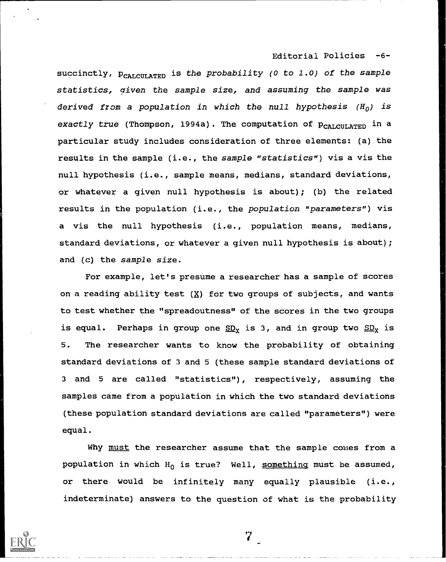Editorial Policies -6-

succinctly,  $p_{cALCUT,ATED}$  is the probability (0 to 1.0) of the sample statistics, given the sample size, and assuming the sample was derived from a population in which the null hypothesis  $(H_0)$  is exactly true (Thompson, 1994a). The computation of  $p_{CALCULATED}$  in a particular study includes consideration of three elements: (a) the results in the sample (i.e., the sample "statistics") vis a vis the null hypothesis (i.e., sample means, medians, standard deviations, or whatever a given null hypothesis is about); (b) the related results in the population (i.e., the population "parameters") vis a vis the null hypothesis (i.e., population means, medians, standard deviations, or whatever a given null hypothesis is about); and (c) the sample size.

For example, let's presume a researcher has a sample of scores on a reading ability test  $(X)$  for two groups of subjects, and wants to test whether the "spreadoutness" of the scores in the two groups is equal. Perhaps in group one  $SD_x$  is 3, and in group two  $SD_x$  is 5. The researcher wants to know the probability of obtaining standard deviations of 3 and 5 (these sample standard deviations of <sup>3</sup> and 5 are called "statistics"), respectively, assuming the samples came from a population in which the two standard deviations (these population standard deviations are called "parameters") were equal.

Why must the researcher assume that the sample comes from a population in which  $H_0$  is true? Well, something must be assumed, or there would be infinitely many equally plausible (i.e., indeterminate) answers to the question of what is the probability

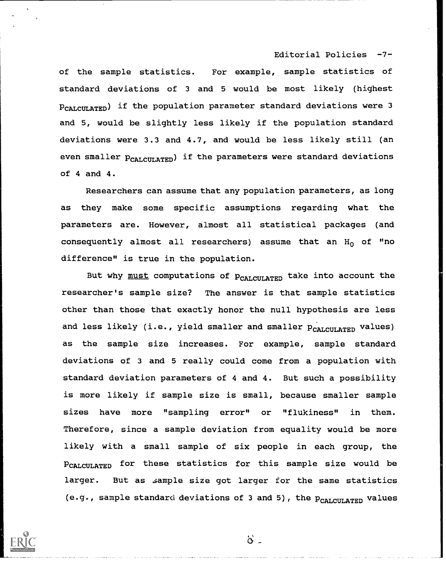### Editorial Policies -7-

of the sample statistics. For example, sample statistics of standard deviations of <sup>3</sup> and 5 would be most likely (highest PCALCULATED) if the population parameter standard deviations were 3 and 5, would be slightly less likely if the population standard deviations were 3.3 and 4.7, and would be less likely still (an even smaller  $p_{CALCUT,ATED}$ ) if the parameters were standard deviations of 4 and 4.

Researchers can assume that any population parameters, as long as they make some specific assumptions regarding what the parameters are. However, almost all statistical packages (and consequently almost all researchers) assume that an  $H_0$  of "no difference" is true in the population.

But why must computations of  $p_{\text{CALCULATED}}$  take into account the researcher's sample size? The answer is that sample statistics other than those that exactly honor the null hypothesis are less and less likely (i.e., yield smaller and smaller  $p_{CALCULATED}$  values) as the sample size increases. For example, sample standard deviations of 3 and 5 really could come from a population with standard deviation parameters of 4 and 4. But such a possibility is more likely if sample size is small, because smaller sample sizes have more "sampling error" or "flukiness" in them. Therefore, since a sample deviation from equality would be more likely with a small sample of six people in each group, the PCALCULATED for these statistics for this sample size would be larger. But as sample size got larger for the same statistics (e.g., sample standard deviations of 3 and 5), the PCALCULATED values



 $\delta$  .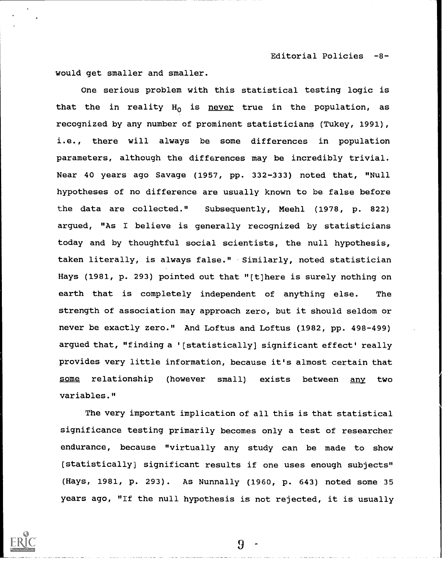Editorial Policies -8-

would get smaller and smaller.

One serious problem with this statistical testing logic is that the in reality  $H_0$  is never true in the population, as recognized by any number of prominent statisticians (Tukey, 1991), i.e., there will always be some differences in population parameters, although the differences may be incredibly trivial. Near 40 years ago Savage (1957, pp. 332-333) noted that, "Null hypotheses of no difference are usually known to be false before the data are collected." Subsequently, Meehl (1978, p. 822) argued, "As I believe is generally recognized by statisticians today and by thoughtful social scientists, the null hypothesis, taken literally, is always false." Similarly, noted statistician Hays (1981, p. 293) pointed out that "[t]here is surely nothing on earth that is completely independent of anything else. The strength of association may approach zero, but it should seldom or never be exactly zero." And Loftus and Loftus (1982, pp. 498-499) argued that, "finding a '[statistically] significant effect' really provides very little information, because it's almost certain that some relationship (however small) exists between any two variables."

The very important implication of all this is that statistical significance testing primarily becomes only a test of researcher endurance, because "virtually any study can be made to show [statistically] significant results if one uses enough subjects" (Hays, 1981, p. 293). As Nunnally (1960, p. 643) noted some 35 years ago, "If the null hypothesis is not rejected, it is usually



!}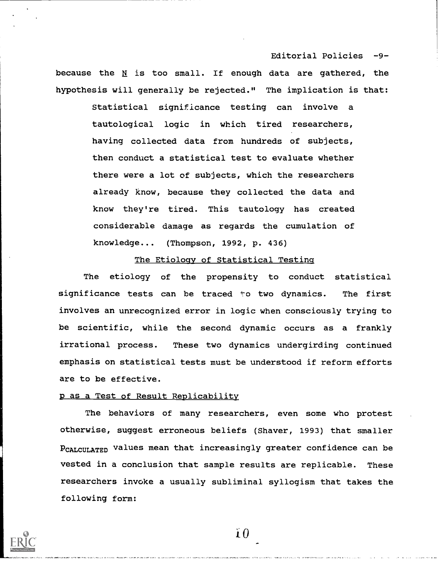because the  $N$  is too small. If enough data are gathered, the hypothesis will generally be rejected." The implication is that:

Editorial Policies -9-

Statistical significance testing can involve a tautological logic in which tired researchers, having collected data from hundreds of subjects, then conduct a statistical test to evaluate whether there were a lot of subjects, which the researchers already know, because they collected the data and know they're tired. This tautology has created considerable damage as regards the cumulation of knowledge... (Thompson, 1992, P. 436)

# The Etiology of Statistical Testing

The etiology of the propensity to conduct statistical significance tests can be traced to two dynamics. The first involves an unrecognized error in logic when consciously trying to be scientific, while the second dynamic occurs as a frankly irrational process. These two dynamics undergirding continued emphasis on statistical tests must be understood if reform efforts are to be effective.

# p as a Test of Result Replicability

The behaviors of many researchers, even some who protest otherwise, suggest erroneous beliefs (Shaver, 1993) that smaller PCALCULATED values mean that increasingly greater confidence can be vested in a conclusion that sample results are replicable. These researchers invoke a usually subliminal syllogism that takes the following form:



 $\mathbf{i} \, \mathbf{0}$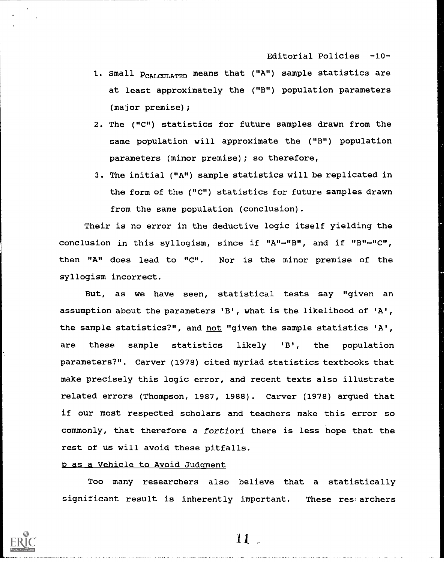Editorial Policies -10-

- 1. Small  $p_{CALCUT,ATED}$  means that ("A") sample statistics are at least approximately the ("B") population parameters (major premise);
- 2. The ("C") statistics for future samples drawn from the same population will approximate the ("B") population parameters (minor premise); so therefore,
- 3. The initial ("A") sample statistics will be replicated in the form of the ("C") statistics for future samples drawn from the same population (conclusion).

Their is no error in the deductive logic itself yielding the conclusion in this syllogism, since if "A"="B", and if "B"="C", then "A" does lead to "C". Nor is the minor premise of the syllogism incorrect.

But, as we have seen, statistical tests say "given an assumption about the parameters 'B', what is the likelihood of 'A', the sample statistics?", and not "given the sample statistics 'A', are these sample statistics likely 'B', the population parameters?". Carver (1978) cited myriad statistics textbooks that make precisely this logic error, and recent texts also illustrate related errors (Thompson, 1987, 1988). Carver (1978) argued that if our most respected scholars and teachers make this error so commonly, that therefore a fortiori there is less hope that the rest of us will avoid these pitfalls.

# p as a Vehicle to Avoid Judgment

Too many researchers also believe that a statistically significant result is inherently important. These researchers



 $11-$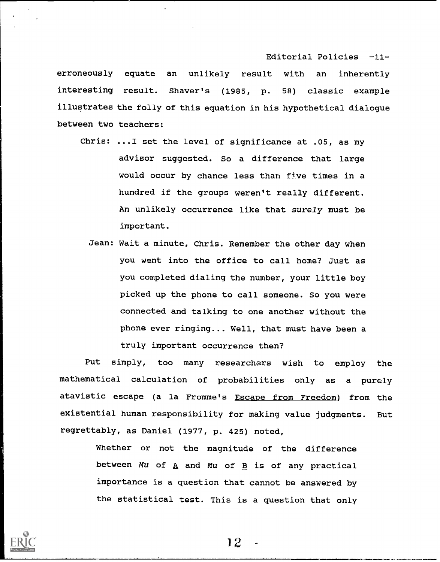Editorial Policies -11-

erroneously equate an unlikely result with an inherently interesting result. Shaver's (1985, P. 58) classic example illustrates the folly of this equation in his hypothetical dialogue between two teachers:

- Chris: ...I set the level of significance at .05, as my advisor suggested. So a difference that large would occur by chance less than five times in a hundred if the groups weren't really different. An unlikely occurrence like that surely must be important.
	- Jean: Wait a minute, Chris. Remember the other day when you went into the office to call home? Just as you completed dialing the number, your little boy picked up the phone to call someone. So you were connected and talking to one another without the phone ever ringing... Well, that must have been a truly important occurrence then?

Put simply, too many researchers wish to employ the mathematical calculation of probabilities only as <sup>a</sup> purely atavistic escape (a la Fromme's Escape from Freedom) from the existential human responsibility for making value judgments. But regrettably, as Daniel (1977, P. 425) noted,

> Whether or not the magnitude of the difference between Mu of  $\underline{A}$  and Mu of  $\underline{B}$  is of any practical importance is a question that cannot be answered by the statistical test. This is a question that only

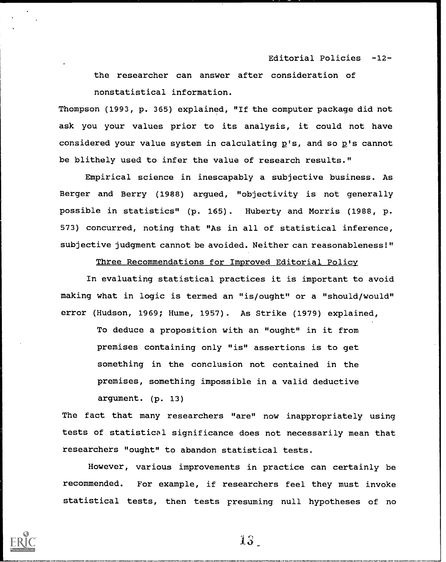## Editorial Policies -12-

the researcher can answer after consideration of nonstatistical information.

Thompson (1993, P. 365) explained, "If the computer package did not ask you your values prior to its analysis, it could not have considered your value system in calculating  $p's$ , and so  $p's$  cannot be blithely used to infer the value of research results."

Empirical science in inescapably a subjective business. As Berger and Berry (1988) argued, "objectivity is not generally possible in statistics" (p. 165). Huberty and Morris (1988, p. 573) concurred, noting that "As in all of statistical inference, subjective judgment cannot be avoided. Neither can reasonableness!"

Three Recommendations for Improved Editorial Policy

In evaluating statistical practices it is important to avoid making what in logic is termed an "is/ought" or a "should/would" error (Hudson, 1969; Hume, 1957). As Strike (1979) explained,

> To deduce a proposition with an "ought" in it from premises containing only "is" assertions is to get something in the conclusion not contained in the premises, something impossible in a valid deductive argument. (p. 13)

The fact that many researchers "are" now inappropriately using tests of statistical significance does not necessarily mean that researchers "ought" to abandon statistical tests.

However, various improvements in practice can certainly be recommended. For example, if researchers feel they must invoke statistical tests, then tests presuming null hypotheses of no



13.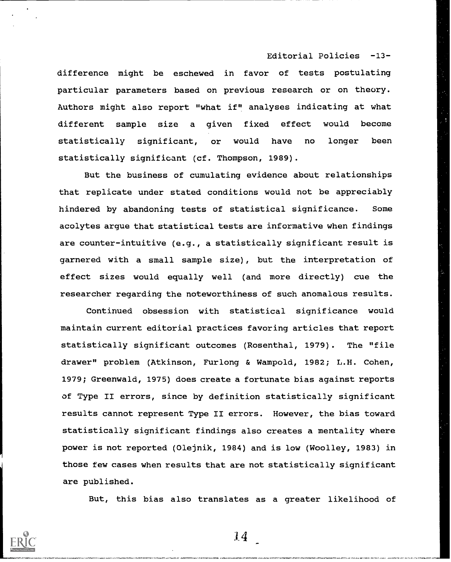Editorial Policies -13-

difference might be eschewed in favor of tests postulating particular parameters based on previous research or on theory. Authors might also report "what if" analyses indicating at what different sample size a given fixed effect would become statistically significant, or would have no longer been statistically significant (cf. Thompson, 1989).

But the business of cumulating evidence about relationships that replicate under stated conditions would not be appreciably hindered by abandoning tests of statistical significance. Some acolytes argue that statistical tests are informative when findings are counter-intuitive (e.g., a statistically significant result is garnered with a small sample size), but the interpretation of effect sizes would equally well (and more directly) cue the researcher regarding the noteworthiness of such anomalous results.

Continued obsession with statistical significance would maintain current editorial practices favoring articles that report statistically significant outcomes (Rosenthal, 1979). The "file drawer" problem (Atkinson, Furlong & Wampold, 1982; L.H. Cohen, 1979; Greenwald, 1975) does create a fortunate bias against reports of Type II errors, since by definition statistically significant results cannot represent Type II errors. However, the bias toward statistically significant findings also creates a mentality where power is not reported (Olejnik, 1984) and is low (Woolley, 1983) in those few cases when results that are not statistically significant are published.

But, this bias also translates as a greater likelihood of

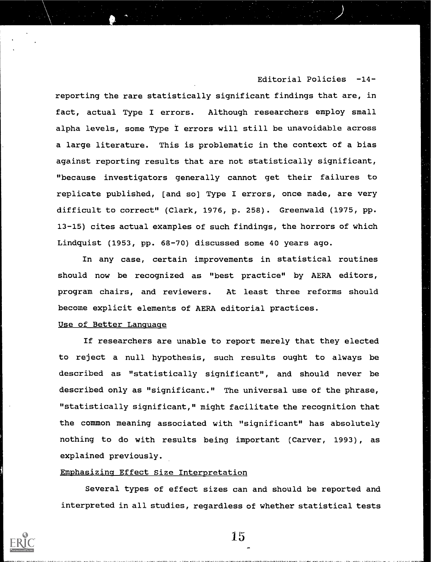# Editorial Policies -14-

reporting the rare statistically significant findings that are, in fact, actual Type I errors. Although researchers employ small alpha levels, some Type I errors will still be unavoidable across a large literature. This is problematic in the context of a bias against reporting results that are not statistically significant, "because investigators generally cannot get their failures to replicate published, [and so] Type I errors, once made, are very difficult to correct" (Clark, 1976, p. 258). Greenwald (1975, pp. 13-15) cites actual examples of such findings, the horrors of which Lindquist (1953, pp. 68-70) discussed some 40 years ago.

In any case, certain improvements in statistical routines should now be recognized as "best practice" by AERA editors, program chairs, and reviewers. At least three reforms should become explicit elements of AERA editorial practices.

## Use of Better Language

If researchers are unable to report merely that they elected to reject a null hypothesis, such results ought to always be described as "statistically significant", and should never be described only as "significant." The universal use of the phrase, "statistically significant," might facilitate the recognition that the common meaning associated with "significant" has absolutely nothing to do with results being important (Carver, 1993), as explained previously.

## Emphasizing Effect Size Interpretation

Several types of effect sizes can and should be reported and interpreted in all studies, regardless of whether statistical tests

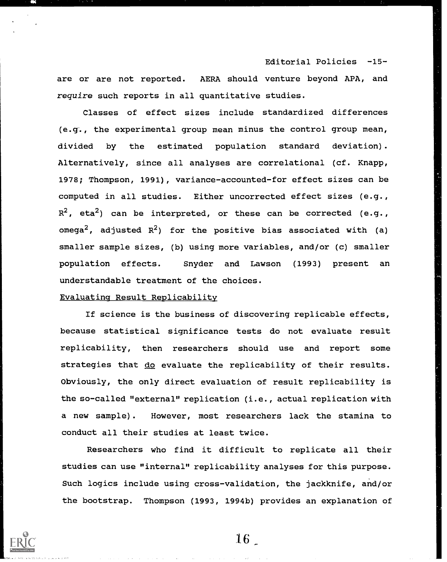Editorial Policies -15 are or are not reported. AERA should venture beyond APA, and require such reports in all quantitative studies.

Classes of effect sizes include standardized differences (e.T., the experimental group mean minus the control group mean, divided by the estimated population standard deviation). Alternatively, since all analyses are correlational (cf. Knapp, 1978; Thompson, 1991), variance-accounted-for effect sizes can be computed in all studies. Either uncorrected effect sizes (e.g.,  $R^2$ , eta<sup>2</sup>) can be interpreted, or these can be corrected (e.g., omega<sup>2</sup>, adjusted  $R^2$ ) for the positive bias associated with (a) smaller sample sizes, (b) using more variables, and/or (c) smaller population effects. Snyder and Lawson (1993) present an understandable treatment of the choices.

## Evaluating Result Replicabilitv

If science is the business of discovering replicable effects, because statistical significance tests do not evaluate result replicability, then researchers should use and report some strategies that do evaluate the replicability of their results. Obviously, the only direct evaluation of result replicability is the so-called "external" replication (i.e., actual replication with a new sample). However, most researchers lack the stamina to conduct all their studies at least twice.

Researchers who find it difficult to replicate all their studies can use "internal" replicability analyses for this purpose. Such logics include using cross-validation, the jackknife, and/or the bootstrap. Thompson (1993, 1994b) provides an explanation of

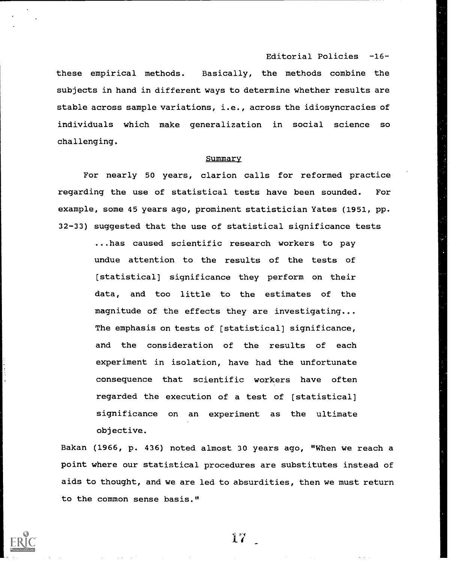Editorial Policies -16-

these empirical methods. Basically, the methods combine the subjects in hand in different ways to determine whether results are stable across sample variations, i.e., across the idiosyncracies of individuals which make generalization in social science so challenging.

#### Summary

For nearly 50 years, clarion calls for reformed practice regarding the use of statistical tests have been sounded. For example, some 45 years ago, prominent statistician Yates (1951, pp. 32-33) suggested that the use of statistical significance tests

> ...has caused scientific research workers to pay undue attention to the results of the tests of [statistical] significance they perform on their data, and too little to the estimates of the magnitude of the effects they are investigating... The emphasis on tests of [statistical] significance, and the consideration of the results of each experiment in isolation, have had the unfortunate consequence that scientific workers have often regarded the execution of a test of [statistical] significance on an experiment as the ultimate objective.

Bakan (1966, p. 436) noted almost 30 years ago, "When we reach a point where our statistical procedures are substitutes instead of aids to thought, and we are led to absurdities, then we must return to the common sense basis."

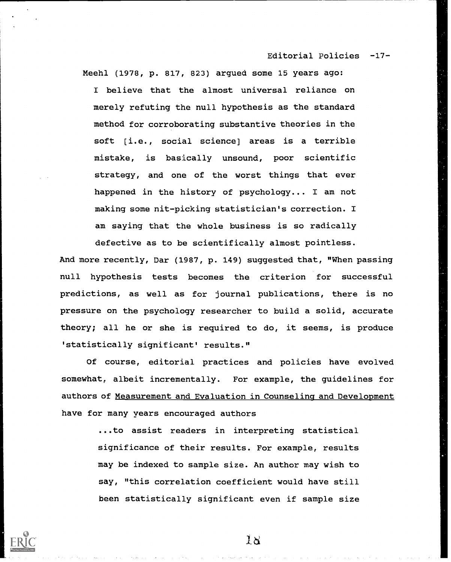Editorial Policies -17-

Meehl (1978, p. 817, 823) argued some 15 years ago: I believe that the almost universal reliance on merely refuting the null hypothesis as the standard method for corroborating substantive theories in the soft [i.e., social science] areas is a terrible mistake, is basically unsound, poor scientific strategy, and one of the worst things that ever happened in the history of psychology... I am not making some nit-picking statistician's correction. I am saying that the whole business is so radically defective as to be scientifically almost pointless.

And more recently, Dar (1987, p. 149) suggested that, "When passing null hypothesis tests becomes the criterion for successful predictions, as well as for journal publications, there is no pressure on the psychology researcher to build a solid, accurate theory; all he or she is required to do, it seems, is produce 'statistically significant' results."

Of course, editorial practices and policies have evolved somewhat, albeit incrementally. For example, the guidelines for authors of Measurement and Evaluation in Counseling and Development have for many years encouraged authors

> ...to assist readers in interpreting statistical significance of their results. For example, results may be indexed to sample size. An author may wish to say, "this correlation coefficient would have still been statistically significant even if sample size

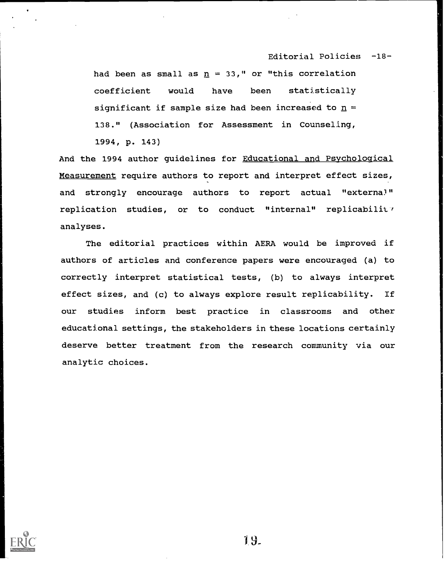Editorial Policies -18-

had been as small as  $n = 33$ ," or "this correlation coefficient would have been statistically significant if sample size had been increased to  $n =$ 138." (Association for Assessment in Counseling, 1994, P. 143)

And the 1994 author guidelines for Educational and Psychological Measurement require authors to report and interpret effect sizes, and strongly encourage authors to report actual "externa)" replication studies, or to conduct "internal" replicability analyses.

The editorial practices within AERA would be improved if authors of articles and conference papers were encouraged (a) to correctly interpret statistical tests, (b) to always interpret effect sizes, and (c) to always explore result replicability. If our studies inform best practice in classrooms and other educational settings, the stakeholders in these locations certainly deserve better treatment from the research community via our analytic choices.



19.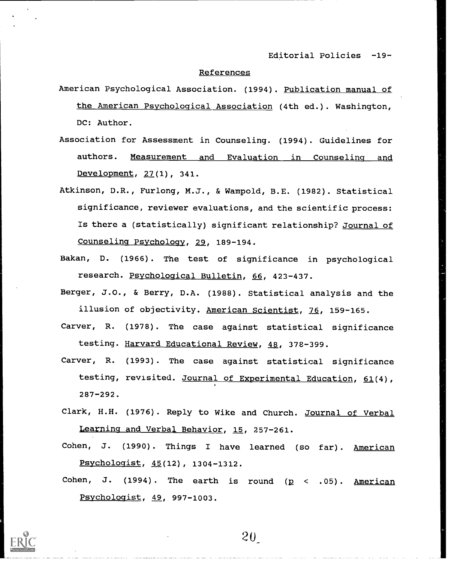Editorial Policies -19-

#### References

- American Psychological Association. (1994). Publication manual of the American Psychological Association (4th ed.). Washington, DC: Author.
- Association for Assessment in Counseling. (1994). Guidelines for authors. Measurement and Evaluation in Counseling and Development, 27(1), 341.
- Atkinson, D.R., Furlong, M.J., & Wampold, B.E. (1982). Statistical significance, reviewer evaluations, and the scientific process: Is there a (statistically) significant relationship? Journal of Counseling Psychology, 29, 189-194.
- Bakan, D. (1966). The test of significance in psychological research. Psychological Bulletin, 66, 423-437.
- Berger, J.0., & Berry, D.A. (1988). Statistical analysis and the illusion of objectivity. American Scientist, 76, 159-165.
- Carver, R. (1978). The case against statistical significance testing. Harvard Educational Review, 48, 378-399.
- Carver, R. (1993). The case against statistical significance testing, revisited. Journal of Experimental Education, 61(4), 287-292.
- Clark, H.H. (1976). Reply to Wike and Church. Journal of Verbal Learning and Verbal Behavior, 15, 257-261.
- Cohen, J. (1990). Things <sup>I</sup> have learned (so far). American Psychologist, 45(12), 1304-1312.
- Cohen, J. (1994). The earth is round  $(p \lt 0.05)$ . American Psychologist, 49, 997-1003.



 $20<sub>1</sub>$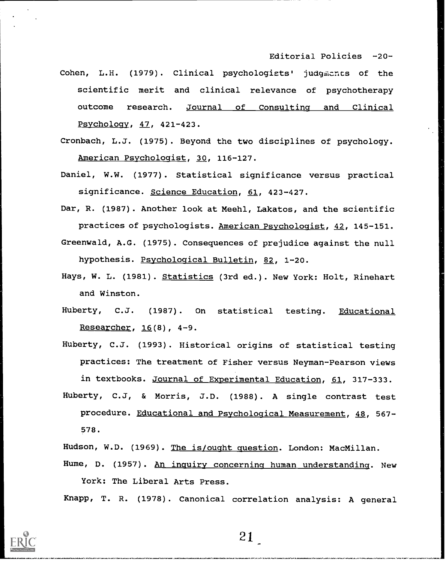Editorial Policies -20-

- Cohen, L.H. (1979). Clinical psychologists' judgmants of the scientific merit and clinical relevance of psychotherapy outcome research. Journal of Consulting and Clinical Psychology, 47, 421-423.
- Cronbach, L.J. (1975). Beyond the two disciplines of psychology. American Psychologist, 30, 116-127.
- Daniel, W.W. (1977). Statistical significance versus practical significance. Science Education, 61, 423-427.
- Dar, R. (1987). Another look at Meehl, Lakatos, and the scientific practices of psychologists. American Psychologist, 42, 145-151.
- Greenwald, A.G. (1975). Consequences of prejudice against the null hypothesis. Psychological Bulletin, 82, 1-20.
- Hays, W. L. (1981). Statistics (3rd ed.). New York: Holt, Rinehart and Winston.
- Huberty, C.J. (1987). On statistical testing. Educational Researcher, 16(8), 4-9.
- Huberty, C.J. (1993). Historical origins of statistical testing practices: The treatment of Fisher versus Neyman-Pearson views in textbooks. Journal of Experimental Education, 61, 317-333.
- Huberty, C.J, & Morris, J.D. (1988). A single contrast test procedure. Educational and Psychological Measurement, 48, 567- 578.
- Hudson, W.D. (1969). The is/ought question. London: MacMillan.
- Hume, D. (1957). An inquiry concerning human understanding. New York: The Liberal Arts Press.

Knapp, T. R. (1978). Canonical correlation analysis: A general

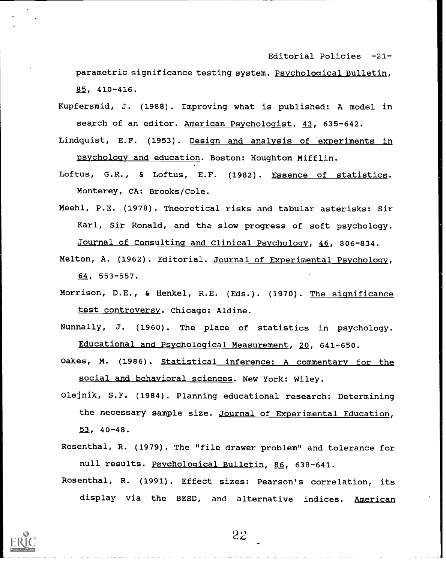Editorial Policies -21-

parametric significance testing system. Psychological Bulletin, 85, 410-416.

- Kupfersmid, J. (1988). Improving what is published: A model in search of an editor. American Psychologist, 43, 635-642.
- Lindquist, E.F. (1953). Design and analysis of experiments in psychology and education. Boston: Houghton Mifflin.
- Loftus, G.R., & Loftus, E.F. (1982). Essence of statistics. Monterey, CA: Brooks/Cole.
- Meehl, P.E. (1978). Theoretical risks and tabular asterisks: Sir Karl, Sir Ronald, and the slow progress of soft psychology. Journal of Consulting and Clinical Psychology, 46, 806-834.
- Melton, A. (1962). Editorial. Journal of Experimental Psychology, 64, 553-557.
- Morrison, D.E., & Henkel, R.E. (Eds.). (1970). The significance test controversy. Chicago: Aldine.
- Nunnally, J. (1960). The place of statistics in psychology. Educational and Psychological Measurement, 20, 641-650.
- Oakes, M. (1986). Statistical inference: A commentary for the social and behavioral sciences. New York: Wiley.
- Olejnik, S.F. (1984). Planning educational research: Determining the necessary sample size. Journal of Experimental Education, 52, 40-48.
- Rosenthal, R. (1979). The "file drawer problem" and tolerance for null results. Psychological Bulletin, 86, 638-641.
- Rosenthal, R. (1991). Effect sizes: Pearson's correlation, its display via the BESD, and alternative indices. American

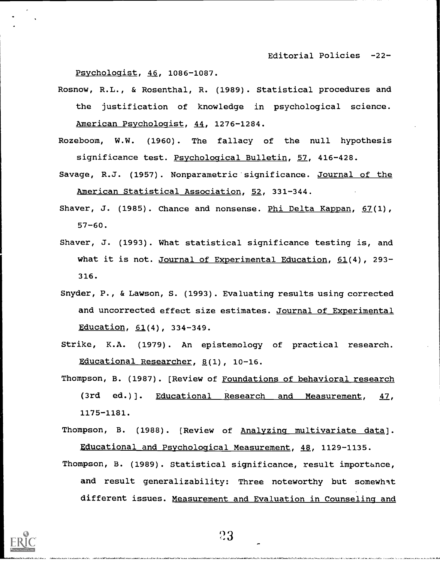Editorial Policies -22-

Psychologist, 46, 1086-1087.

- Rosnow, R.L., & Rosenthal, R. (1989). Statistical procedures and the justification of knowledge in psychological science. American Psychologist, 44, 1276-1284.
- Rozeboom, W.W. (1960). The fallacy of the null hypothesis significance test. Psychological Bulletin, 57, 416-428.
- Savage, R.J. (1957). Nonparametric significance. Journal of the American Statistical Association, 52, 331-344.
- Shaver, J. (1985). Chance and nonsense. Phi Delta Kappan,  $67(1)$ , 57-60.
- Shaver, J. (1993). What statistical significance testing is, and what it is not. Journal of Experimental Education, 61(4), 293-316.
- Snyder, P., & Lawson, S. (1993). Evaluating results using corrected and uncorrected effect size estimates. Journal of Experimental Education, 61(4), 334-349.
- Strike, K.A. (1979). An epistemology of practical research. Educational Researcher, 8(1), 10-16.
- Thompson, B. (1987). [Review of Foundations of behavioral research (3rd ed.)]. Educational Research and Measurement, 47, 1175-1181.
- Thompson, B. (1988). [Review of Analyzing multivariate data]. Educational and Psychological Measurement, 48, 1129-1135.
- Thompson, B. (1989). Statistical significance, result importance, and result generalizability: Three noteworthy but somewhat different issues. Measurement and Evaluation in Counseling and